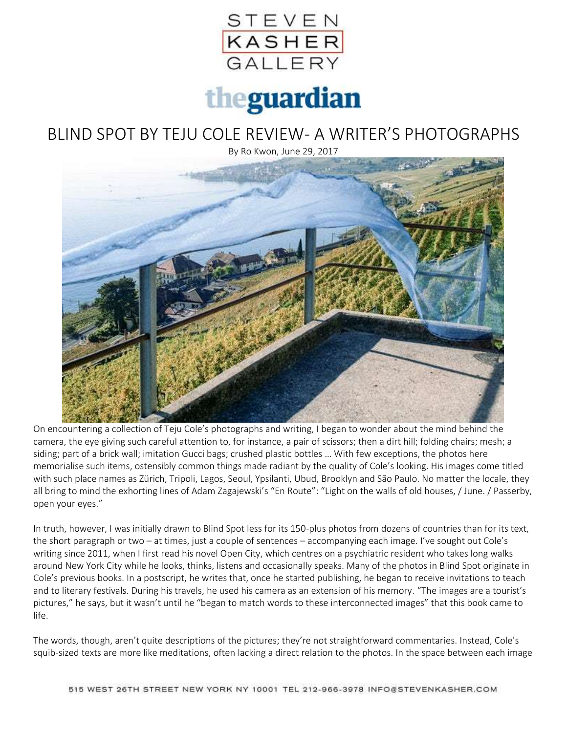

## theguardian

## BLIND SPOT BY TEJU COLE REVIEW- A WRITER'S PHOTOGRAPHS

By Ro Kwon, June 29, 2017



On encountering a collection of Teju Cole's photographs and writing, I began to wonder about the mind behind the camera, the eye giving such careful attention to, for instance, a pair of scissors; then a dirt hill; folding chairs; mesh; a siding; part of a brick wall; imitation Gucci bags; crushed plastic bottles … With few exceptions, the photos here memorialise such items, ostensibly common things made radiant by the quality of Cole's looking. His images come titled with such place names as Zürich, Tripoli, Lagos, Seoul, Ypsilanti, Ubud, Brooklyn and São Paulo. No matter the locale, they all bring to mind the exhorting lines of Adam Zagajewski's "En Route": "Light on the walls of old houses, / June. / Passerby, open your eyes."

In truth, however, I was initially drawn to Blind Spot less for its 150-plus photos from dozens of countries than for its text, the short paragraph or two – at times, just a couple of sentences – accompanying each image. I've sought out Cole's writing since 2011, when I first read his novel Open City, which centres on a psychiatric resident who takes long walks around New York City while he looks, thinks, listens and occasionally speaks. Many of the photos in Blind Spot originate in Cole's previous books. In a postscript, he writes that, once he started publishing, he began to receive invitations to teach and to literary festivals. During his travels, he used his camera as an extension of his memory. "The images are a tourist's pictures," he says, but it wasn't until he "began to match words to these interconnected images" that this book came to life.

The words, though, aren't quite descriptions of the pictures; they're not straightforward commentaries. Instead, Cole's squib-sized texts are more like meditations, often lacking a direct relation to the photos. In the space between each image